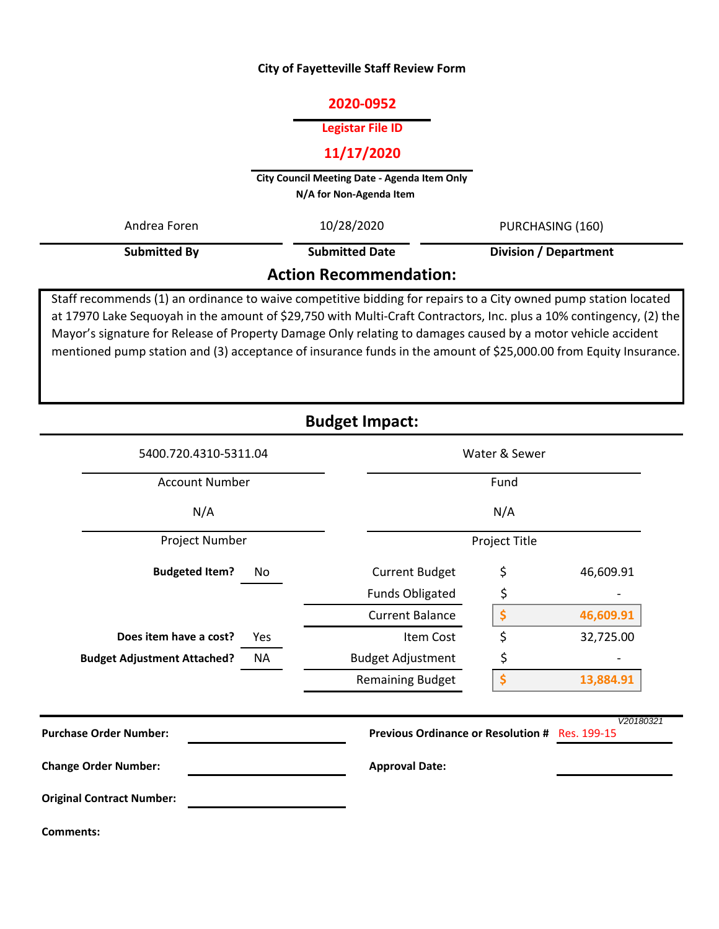## **City of Fayetteville Staff Review Form**

# **2020-0952**

#### **Legistar File ID**

# **11/17/2020**

**City Council Meeting Date - Agenda Item Only N/A for Non-Agenda Item** 

| Andrea Foren                  | 10/28/2020            | PURCHASING (160)             |  |  |  |  |
|-------------------------------|-----------------------|------------------------------|--|--|--|--|
| Submitted By                  | <b>Submitted Date</b> | <b>Division / Department</b> |  |  |  |  |
| <b>Action Recommendation:</b> |                       |                              |  |  |  |  |

Staff recommends (1) an ordinance to waive competitive bidding for repairs to a City owned pump station located at 17970 Lake Sequoyah in the amount of \$29,750 with Multi-Craft Contractors, Inc. plus a 10% contingency, (2) the Mayor's signature for Release of Property Damage Only relating to damages caused by a motor vehicle accident mentioned pump station and (3) acceptance of insurance funds in the amount of \$25,000.00 from Equity Insurance.

| <b>Budget Impact:</b> |  |
|-----------------------|--|
|-----------------------|--|

| 5400.720.4310-5311.04<br><b>Account Number</b><br>N/A |           |                                                | Water & Sewer<br>Fund |           |  |  |
|-------------------------------------------------------|-----------|------------------------------------------------|-----------------------|-----------|--|--|
|                                                       |           |                                                |                       |           |  |  |
|                                                       |           | N/A                                            |                       |           |  |  |
| Project Number                                        |           | Project Title                                  |                       |           |  |  |
| <b>Budgeted Item?</b>                                 | No        | <b>Current Budget</b>                          | \$                    | 46,609.91 |  |  |
|                                                       |           | <b>Funds Obligated</b>                         | \$                    |           |  |  |
|                                                       |           | <b>Current Balance</b>                         | \$                    | 46,609.91 |  |  |
| Does item have a cost?                                | Yes       | Item Cost                                      | \$                    | 32,725.00 |  |  |
| <b>Budget Adjustment Attached?</b>                    | <b>NA</b> | <b>Budget Adjustment</b>                       | \$                    |           |  |  |
|                                                       |           | <b>Remaining Budget</b>                        | \$                    | 13,884.91 |  |  |
| <b>Purchase Order Number:</b>                         |           | Previous Ordinance or Resolution # Res. 199-15 |                       | V20180321 |  |  |
| <b>Change Order Number:</b>                           |           | <b>Approval Date:</b>                          |                       |           |  |  |
| <b>Original Contract Number:</b>                      |           |                                                |                       |           |  |  |
| <b>Comments:</b>                                      |           |                                                |                       |           |  |  |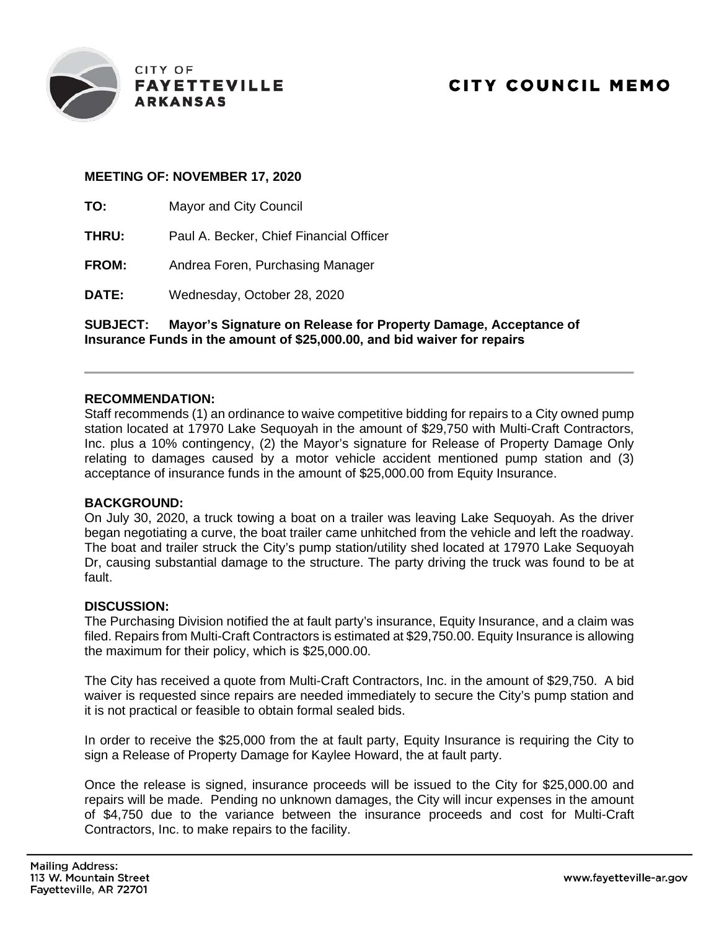

## **MEETING OF: NOVEMBER 17, 2020**

**TO:** Mayor and City Council

**THRU:** Paul A. Becker, Chief Financial Officer

**FROM:** Andrea Foren, Purchasing Manager

**DATE:** Wednesday, October 28, 2020

**SUBJECT: Mayor's Signature on Release for Property Damage, Acceptance of Insurance Funds in the amount of \$25,000.00, and bid waiver for repairs**

## **RECOMMENDATION:**

Staff recommends (1) an ordinance to waive competitive bidding for repairs to a City owned pump station located at 17970 Lake Sequoyah in the amount of \$29,750 with Multi-Craft Contractors, Inc. plus a 10% contingency, (2) the Mayor's signature for Release of Property Damage Only relating to damages caused by a motor vehicle accident mentioned pump station and (3) acceptance of insurance funds in the amount of \$25,000.00 from Equity Insurance.

## **BACKGROUND:**

On July 30, 2020, a truck towing a boat on a trailer was leaving Lake Sequoyah. As the driver began negotiating a curve, the boat trailer came unhitched from the vehicle and left the roadway. The boat and trailer struck the City's pump station/utility shed located at 17970 Lake Sequoyah Dr, causing substantial damage to the structure. The party driving the truck was found to be at fault.

## **DISCUSSION:**

The Purchasing Division notified the at fault party's insurance, Equity Insurance, and a claim was filed. Repairs from Multi-Craft Contractors is estimated at \$29,750.00. Equity Insurance is allowing the maximum for their policy, which is \$25,000.00.

The City has received a quote from Multi-Craft Contractors, Inc. in the amount of \$29,750. A bid waiver is requested since repairs are needed immediately to secure the City's pump station and it is not practical or feasible to obtain formal sealed bids.

In order to receive the \$25,000 from the at fault party, Equity Insurance is requiring the City to sign a Release of Property Damage for Kaylee Howard, the at fault party.

Once the release is signed, insurance proceeds will be issued to the City for \$25,000.00 and repairs will be made. Pending no unknown damages, the City will incur expenses in the amount of \$4,750 due to the variance between the insurance proceeds and cost for Multi-Craft Contractors, Inc. to make repairs to the facility.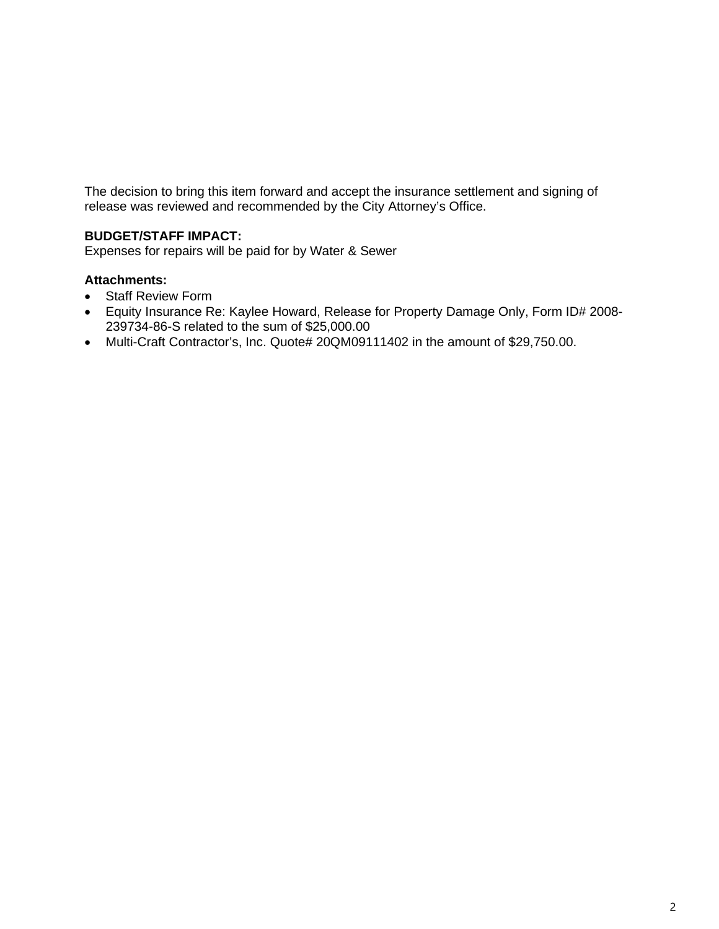The decision to bring this item forward and accept the insurance settlement and signing of release was reviewed and recommended by the City Attorney's Office.

# **BUDGET/STAFF IMPACT:**

Expenses for repairs will be paid for by Water & Sewer

# **Attachments:**

- Staff Review Form
- Equity Insurance Re: Kaylee Howard, Release for Property Damage Only, Form ID# 2008- 239734-86-S related to the sum of \$25,000.00
- Multi-Craft Contractor's, Inc. Quote# 20QM09111402 in the amount of \$29,750.00.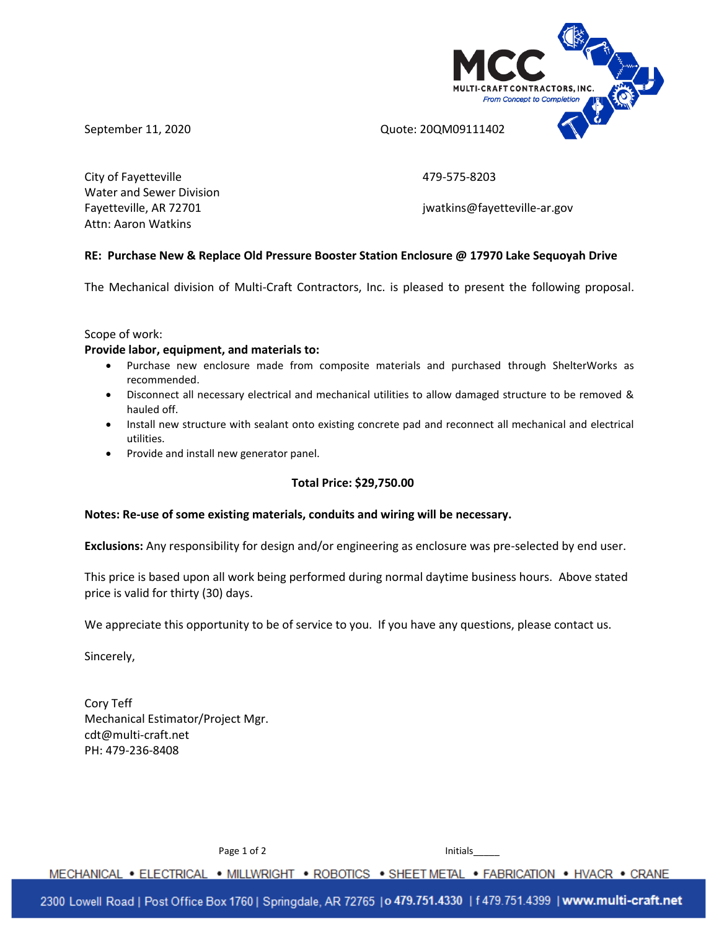



September 11, 2020 **CONFERGENT CONTENT CONTENT** Quote: 20QM09111402

City of Fayetteville **Accord 2012** 2023 Water and Sewer Division Attn: Aaron Watkins

Fayetteville, AR 72701 and the state of the state of the state in the intervals in the state of the state of the state of the state of the state of the state of the state of the state of the state of the state of the state

# **RE: Purchase New & Replace Old Pressure Booster Station Enclosure @ 17970 Lake Sequoyah Drive**

The Mechanical division of Multi-Craft Contractors, Inc. is pleased to present the following proposal.

Scope of work:

#### **Provide labor, equipment, and materials to:**

- Purchase new enclosure made from composite materials and purchased through ShelterWorks as recommended.
- Disconnect all necessary electrical and mechanical utilities to allow damaged structure to be removed & hauled off.
- Install new structure with sealant onto existing concrete pad and reconnect all mechanical and electrical utilities.
- Provide and install new generator panel.

## **Total Price: \$29,750.00**

## **Notes: Re-use of some existing materials, conduits and wiring will be necessary.**

**Exclusions:** Any responsibility for design and/or engineering as enclosure was pre-selected by end user.

This price is based upon all work being performed during normal daytime business hours. Above stated price is valid for thirty (30) days.

We appreciate this opportunity to be of service to you. If you have any questions, please contact us.

Sincerely,

Cory Teff Mechanical Estimator/Project Mgr. cdt@multi-craft.net PH: 479-236-8408

Page 1 of 2 Initials

MECHANICAL . ELECTRICAL . MILLWRIGHT . ROBOTICS . SHEET METAL . FABRICATION . HVACR . CRANE

2300 Lowell Road | Post Office Box 1760 | Springdale, AR 72765 | o 479.751.4330 | f 479.751.4399 | www.multi-craft.net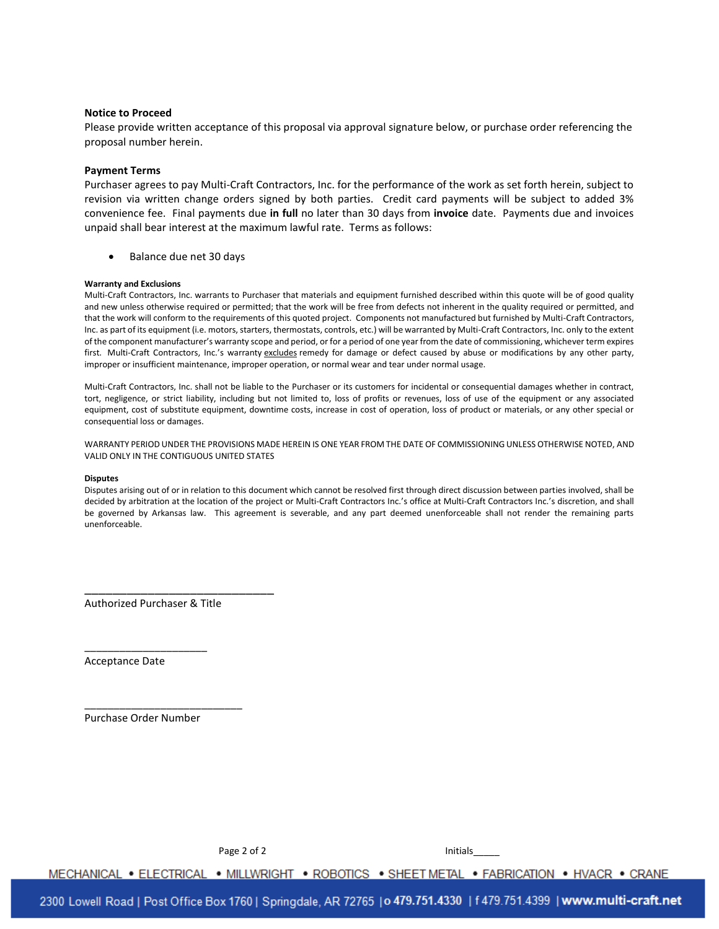#### **Notice to Proceed**

Please provide written acceptance of this proposal via approval signature below, or purchase order referencing the proposal number herein.

#### **Payment Terms**

Purchaser agrees to pay Multi-Craft Contractors, Inc. for the performance of the work as set forth herein, subject to revision via written change orders signed by both parties. Credit card payments will be subject to added 3% convenience fee. Final payments due **in full** no later than 30 days from **invoice** date. Payments due and invoices unpaid shall bear interest at the maximum lawful rate. Terms as follows:

Balance due net 30 days

#### **Warranty and Exclusions**

Multi-Craft Contractors, Inc. warrants to Purchaser that materials and equipment furnished described within this quote will be of good quality and new unless otherwise required or permitted; that the work will be free from defects not inherent in the quality required or permitted, and that the work will conform to the requirements of this quoted project. Components not manufactured but furnished by Multi-Craft Contractors, Inc. as part of its equipment (i.e. motors, starters, thermostats, controls, etc.) will be warranted by Multi-Craft Contractors, Inc. only to the extent of the component manufacturer's warranty scope and period, or for a period of one year from the date of commissioning, whichever term expires first. Multi-Craft Contractors, Inc.'s warranty excludes remedy for damage or defect caused by abuse or modifications by any other party, improper or insufficient maintenance, improper operation, or normal wear and tear under normal usage.

Multi-Craft Contractors, Inc. shall not be liable to the Purchaser or its customers for incidental or consequential damages whether in contract, tort, negligence, or strict liability, including but not limited to, loss of profits or revenues, loss of use of the equipment or any associated equipment, cost of substitute equipment, downtime costs, increase in cost of operation, loss of product or materials, or any other special or consequential loss or damages.

WARRANTY PERIOD UNDER THE PROVISIONS MADE HEREIN IS ONE YEAR FROM THE DATE OF COMMISSIONING UNLESS OTHERWISE NOTED, AND VALID ONLY IN THE CONTIGUOUS UNITED STATES

#### **Disputes**

Disputes arising out of or in relation to this document which cannot be resolved first through direct discussion between parties involved, shall be decided by arbitration at the location of the project or Multi-Craft Contractors Inc.'s office at Multi-Craft Contractors Inc.'s discretion, and shall be governed by Arkansas law. This agreement is severable, and any part deemed unenforceable shall not render the remaining parts unenforceable.

Authorized Purchaser & Title

\_\_\_\_\_\_\_\_\_\_\_\_\_\_\_\_\_\_\_\_\_

\_\_\_\_\_\_\_\_\_\_\_\_\_\_\_\_\_\_\_\_\_\_\_\_\_\_\_

Acceptance Date

Purchase Order Number

\_\_\_\_\_\_\_\_\_\_\_\_\_\_\_\_\_\_\_\_\_\_\_\_\_\_\_

Page 2 of 2 Initials

MECHANICAL . ELECTRICAL . MILLWRIGHT . ROBOTICS . SHEET METAL . FABRICATION . HVACR . CRANE

2300 Lowell Road | Post Office Box 1760 | Springdale, AR 72765 | o 479.751.4330 | f 479.751.4399 | www.multi-craft.net